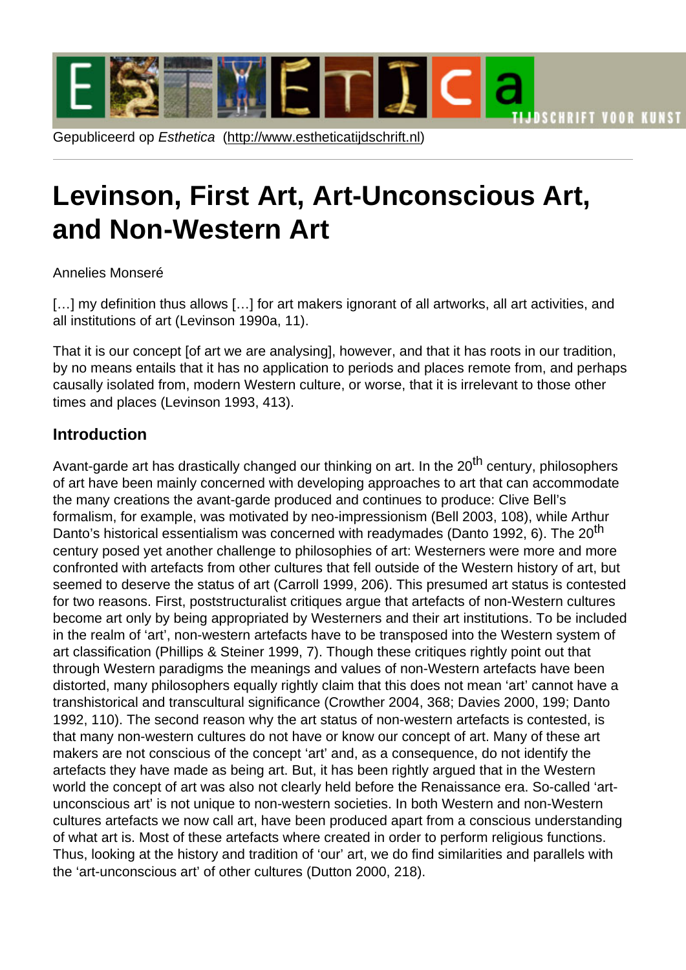# Levinson, Firs[t Art, Art-Uncons](http://www.estheticatijdschrift.nl)cious Art, and Non-Western Art

#### Annelies Monseré

[...] my definition thus allows [...] for art makers ignorant of all artworks, all art activities, and all institutions of art (Levinson 1990a, 11).

That it is our concept [of art we are analysing], however, and that it has roots in our tradition, by no means entails that it has no application to periods and places remote from, and perhaps causally isolated from, modern Western culture, or worse, that it is irrelevant to those other times and places (Levinson 1993, 413).

#### **Introduction**

Avant-garde art has drastically changed our thinking on art. In the 20<sup>th</sup> century, philosophers of art have been mainly concerned with developing approaches to art that can accommodate the many creations the avant-garde produced and continues to produce: Clive Bell's formalism, for example, was motivated by neo-impressionism (Bell 2003, 108), while Arthur Danto's historical essentialism was concerned with readymades (Danto 1992, 6). The 20<sup>th</sup> century posed yet another challenge to philosophies of art: Westerners were more and more confronted with artefacts from other cultures that fell outside of the Western history of art, but seemed to deserve the status of art (Carroll 1999, 206). This presumed art status is contested for two reasons. First, poststructuralist critiques argue that artefacts of non-Western cultures become art only by being appropriated by Westerners and their art institutions. To be included in the realm of 'art', non-western artefacts have to be transposed into the Western system of art classification (Phillips & Steiner 1999, 7). Though these critiques rightly point out that through Western paradigms the meanings and values of non-Western artefacts have been distorted, many philosophers equally rightly claim that this does not mean 'art' cannot have a transhistorical and transcultural significance (Crowther 2004, 368; Davies 2000, 199; Danto 1992, 110). The second reason why the art status of non-western artefacts is contested, is that many non-western cultures do not have or know our concept of art. Many of these art makers are not conscious of the concept 'art' and, as a consequence, do not identify the artefacts they have made as being art. But, it has been rightly argued that in the Western world the concept of art was also not clearly held before the Renaissance era. So-called 'artunconscious art' is not unique to non-western societies. In both Western and non-Western cultures artefacts we now call art, have been produced apart from a conscious understanding of what art is. Most of these artefacts where created in order to perform religious functions. Thus, looking at the history and tradition of 'our' art, we do find similarities and parallels with the 'art-unconscious art' of other cultures (Dutton 2000, 218).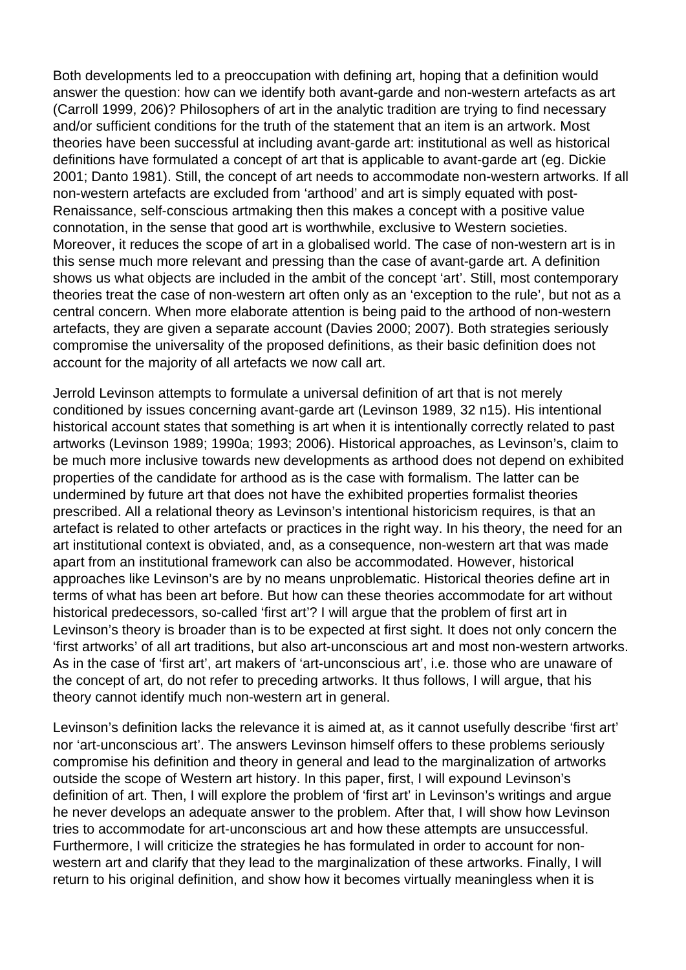Both developments led to a preoccupation with defining art, hoping that a definition would answer the question: how can we identify both avant-garde and non-western artefacts as art (Carroll 1999, 206)? Philosophers of art in the analytic tradition are trying to find necessary and/or sufficient conditions for the truth of the statement that an item is an artwork. Most theories have been successful at including avant-garde art: institutional as well as historical definitions have formulated a concept of art that is applicable to avant-garde art (eg. Dickie 2001; Danto 1981). Still, the concept of art needs to accommodate non-western artworks. If all non-western artefacts are excluded from 'arthood' and art is simply equated with post-Renaissance, self-conscious artmaking then this makes a concept with a positive value connotation, in the sense that good art is worthwhile, exclusive to Western societies. Moreover, it reduces the scope of art in a globalised world. The case of non-western art is in this sense much more relevant and pressing than the case of avant-garde art. A definition shows us what objects are included in the ambit of the concept 'art'. Still, most contemporary theories treat the case of non-western art often only as an 'exception to the rule', but not as a central concern. When more elaborate attention is being paid to the arthood of non-western artefacts, they are given a separate account (Davies 2000; 2007). Both strategies seriously compromise the universality of the proposed definitions, as their basic definition does not account for the majority of all artefacts we now call art.

Jerrold Levinson attempts to formulate a universal definition of art that is not merely conditioned by issues concerning avant-garde art (Levinson 1989, 32 n15). His intentional historical account states that something is art when it is intentionally correctly related to past artworks (Levinson 1989; 1990a; 1993; 2006). Historical approaches, as Levinson's, claim to be much more inclusive towards new developments as arthood does not depend on exhibited properties of the candidate for arthood as is the case with formalism. The latter can be undermined by future art that does not have the exhibited properties formalist theories prescribed. All a relational theory as Levinson's intentional historicism requires, is that an artefact is related to other artefacts or practices in the right way. In his theory, the need for an art institutional context is obviated, and, as a consequence, non-western art that was made apart from an institutional framework can also be accommodated. However, historical approaches like Levinson's are by no means unproblematic. Historical theories define art in terms of what has been art before. But how can these theories accommodate for art without historical predecessors, so-called 'first art'? I will argue that the problem of first art in Levinson's theory is broader than is to be expected at first sight. It does not only concern the 'first artworks' of all art traditions, but also art-unconscious art and most non-western artworks. As in the case of 'first art', art makers of 'art-unconscious art', i.e. those who are unaware of the concept of art, do not refer to preceding artworks. It thus follows, I will argue, that his theory cannot identify much non-western art in general.

Levinson's definition lacks the relevance it is aimed at, as it cannot usefully describe 'first art' nor 'art-unconscious art'. The answers Levinson himself offers to these problems seriously compromise his definition and theory in general and lead to the marginalization of artworks outside the scope of Western art history. In this paper, first, I will expound Levinson's definition of art. Then, I will explore the problem of 'first art' in Levinson's writings and argue he never develops an adequate answer to the problem. After that, I will show how Levinson tries to accommodate for art-unconscious art and how these attempts are unsuccessful. Furthermore, I will criticize the strategies he has formulated in order to account for nonwestern art and clarify that they lead to the marginalization of these artworks. Finally, I will return to his original definition, and show how it becomes virtually meaningless when it is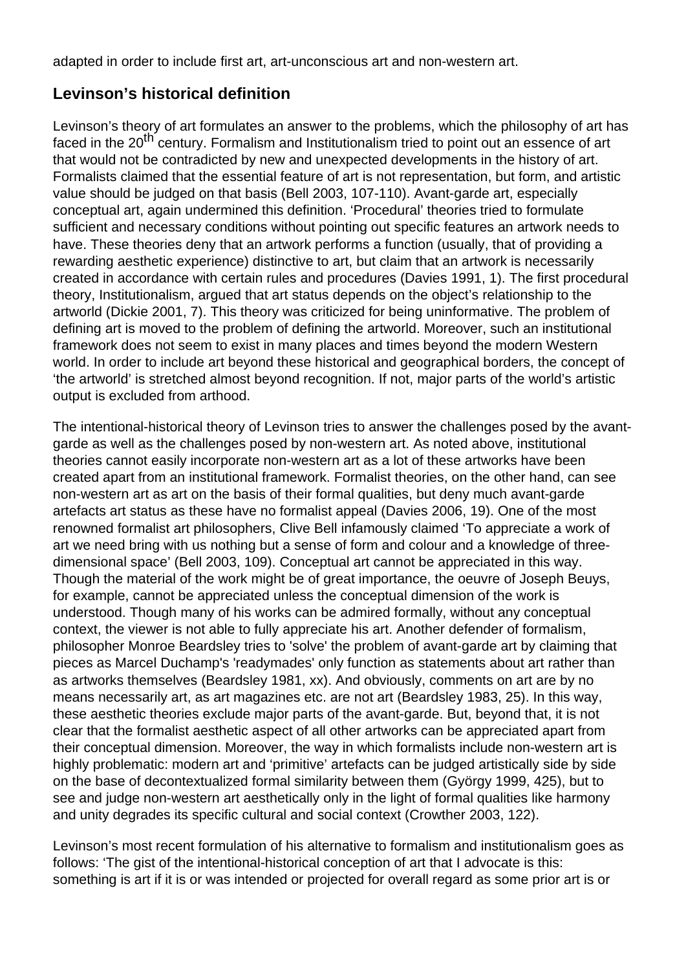adapted in order to include first art, art-unconscious art and non-western art.

# **Levinson's historical definition**

Levinson's theory of art formulates an answer to the problems, which the philosophy of art has faced in the 20<sup>th</sup> century. Formalism and Institutionalism tried to point out an essence of art that would not be contradicted by new and unexpected developments in the history of art. Formalists claimed that the essential feature of art is not representation, but form, and artistic value should be judged on that basis (Bell 2003, 107-110). Avant-garde art, especially conceptual art, again undermined this definition. 'Procedural' theories tried to formulate sufficient and necessary conditions without pointing out specific features an artwork needs to have. These theories deny that an artwork performs a function (usually, that of providing a rewarding aesthetic experience) distinctive to art, but claim that an artwork is necessarily created in accordance with certain rules and procedures (Davies 1991, 1). The first procedural theory, Institutionalism, argued that art status depends on the object's relationship to the artworld (Dickie 2001, 7). This theory was criticized for being uninformative. The problem of defining art is moved to the problem of defining the artworld. Moreover, such an institutional framework does not seem to exist in many places and times beyond the modern Western world. In order to include art beyond these historical and geographical borders, the concept of 'the artworld' is stretched almost beyond recognition. If not, major parts of the world's artistic output is excluded from arthood.

The intentional-historical theory of Levinson tries to answer the challenges posed by the avantgarde as well as the challenges posed by non-western art. As noted above, institutional theories cannot easily incorporate non-western art as a lot of these artworks have been created apart from an institutional framework. Formalist theories, on the other hand, can see non-western art as art on the basis of their formal qualities, but deny much avant-garde artefacts art status as these have no formalist appeal (Davies 2006, 19). One of the most renowned formalist art philosophers, Clive Bell infamously claimed 'To appreciate a work of art we need bring with us nothing but a sense of form and colour and a knowledge of threedimensional space' (Bell 2003, 109). Conceptual art cannot be appreciated in this way. Though the material of the work might be of great importance, the oeuvre of Joseph Beuys, for example, cannot be appreciated unless the conceptual dimension of the work is understood. Though many of his works can be admired formally, without any conceptual context, the viewer is not able to fully appreciate his art. Another defender of formalism, philosopher Monroe Beardsley tries to 'solve' the problem of avant-garde art by claiming that pieces as Marcel Duchamp's 'readymades' only function as statements about art rather than as artworks themselves (Beardsley 1981, xx). And obviously, comments on art are by no means necessarily art, as art magazines etc. are not art (Beardsley 1983, 25). In this way, these aesthetic theories exclude major parts of the avant-garde. But, beyond that, it is not clear that the formalist aesthetic aspect of all other artworks can be appreciated apart from their conceptual dimension. Moreover, the way in which formalists include non-western art is highly problematic: modern art and 'primitive' artefacts can be judged artistically side by side on the base of decontextualized formal similarity between them (György 1999, 425), but to see and judge non-western art aesthetically only in the light of formal qualities like harmony and unity degrades its specific cultural and social context (Crowther 2003, 122).

Levinson's most recent formulation of his alternative to formalism and institutionalism goes as follows: 'The gist of the intentional-historical conception of art that I advocate is this: something is art if it is or was intended or projected for overall regard as some prior art is or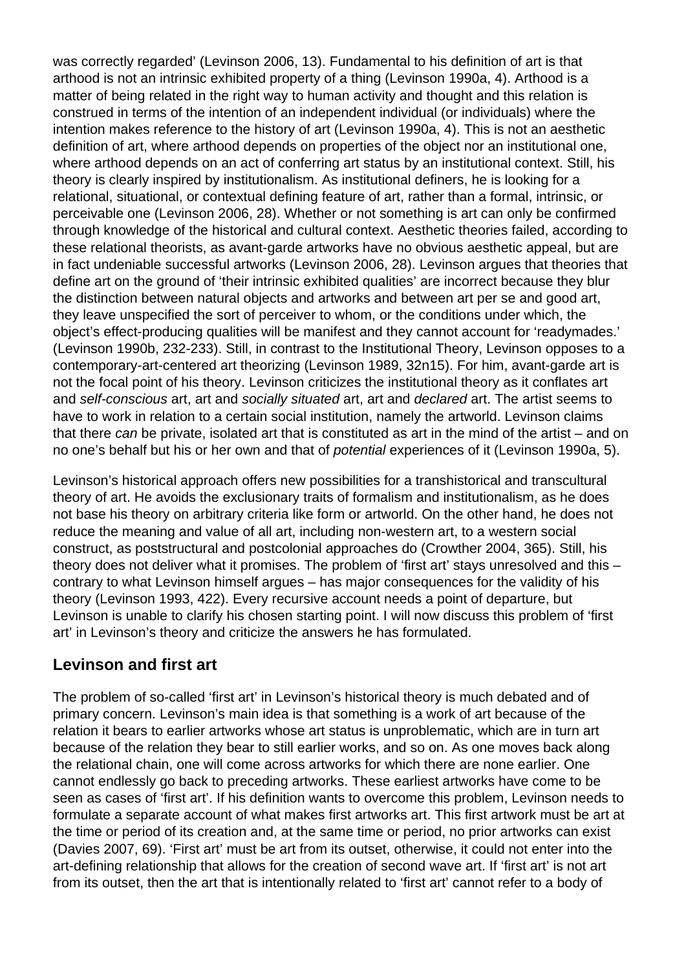was correctly regarded' (Levinson 2006, 13). Fundamental to his definition of art is that arthood is not an intrinsic exhibited property of a thing (Levinson 1990a, 4). Arthood is a matter of being related in the right way to human activity and thought and this relation is construed in terms of the intention of an independent individual (or individuals) where the intention makes reference to the history of art (Levinson 1990a, 4). This is not an aesthetic definition of art, where arthood depends on properties of the object nor an institutional one, where arthood depends on an act of conferring art status by an institutional context. Still, his theory is clearly inspired by institutionalism. As institutional definers, he is looking for a relational, situational, or contextual defining feature of art, rather than a formal, intrinsic, or perceivable one (Levinson 2006, 28). Whether or not something is art can only be confirmed through knowledge of the historical and cultural context. Aesthetic theories failed, according to these relational theorists, as avant-garde artworks have no obvious aesthetic appeal, but are in fact undeniable successful artworks (Levinson 2006, 28). Levinson argues that theories that define art on the ground of 'their intrinsic exhibited qualities' are incorrect because they blur the distinction between natural objects and artworks and between art per se and good art, they leave unspecified the sort of perceiver to whom, or the conditions under which, the object's effect-producing qualities will be manifest and they cannot account for 'readymades.' (Levinson 1990b, 232-233). Still, in contrast to the Institutional Theory, Levinson opposes to a contemporary-art-centered art theorizing (Levinson 1989, 32n15). For him, avant-garde art is not the focal point of his theory. Levinson criticizes the institutional theory as it conflates art and self-conscious art, art and socially situated art, art and declared art. The artist seems to have to work in relation to a certain social institution, namely the artworld. Levinson claims that there can be private, isolated art that is constituted as art in the mind of the artist – and on no one's behalf but his or her own and that of potential experiences of it (Levinson 1990a, 5).

Levinson's historical approach offers new possibilities for a transhistorical and transcultural theory of art. He avoids the exclusionary traits of formalism and institutionalism, as he does not base his theory on arbitrary criteria like form or artworld. On the other hand, he does not reduce the meaning and value of all art, including non-western art, to a western social construct, as poststructural and postcolonial approaches do (Crowther 2004, 365). Still, his theory does not deliver what it promises. The problem of 'first art' stays unresolved and this – contrary to what Levinson himself argues – has major consequences for the validity of his theory (Levinson 1993, 422). Every recursive account needs a point of departure, but Levinson is unable to clarify his chosen starting point. I will now discuss this problem of 'first art' in Levinson's theory and criticize the answers he has formulated.

## **Levinson and first art**

The problem of so-called 'first art' in Levinson's historical theory is much debated and of primary concern. Levinson's main idea is that something is a work of art because of the relation it bears to earlier artworks whose art status is unproblematic, which are in turn art because of the relation they bear to still earlier works, and so on. As one moves back along the relational chain, one will come across artworks for which there are none earlier. One cannot endlessly go back to preceding artworks. These earliest artworks have come to be seen as cases of 'first art'. If his definition wants to overcome this problem, Levinson needs to formulate a separate account of what makes first artworks art. This first artwork must be art at the time or period of its creation and, at the same time or period, no prior artworks can exist (Davies 2007, 69). 'First art' must be art from its outset, otherwise, it could not enter into the art-defining relationship that allows for the creation of second wave art. If 'first art' is not art from its outset, then the art that is intentionally related to 'first art' cannot refer to a body of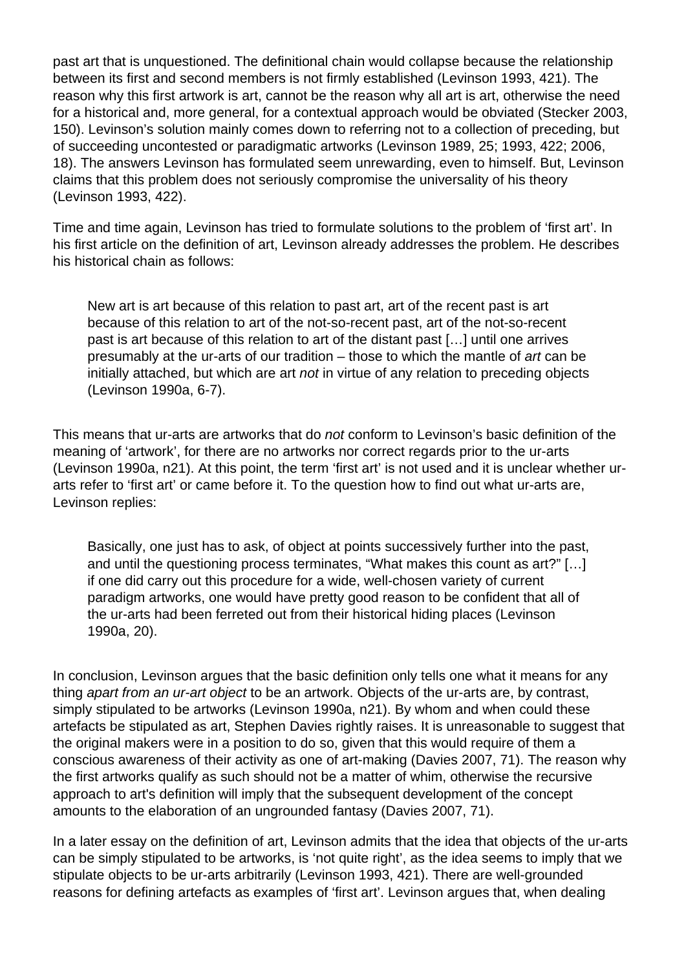past art that is unquestioned. The definitional chain would collapse because the relationship between its first and second members is not firmly established (Levinson 1993, 421). The reason why this first artwork is art, cannot be the reason why all art is art, otherwise the need for a historical and, more general, for a contextual approach would be obviated (Stecker 2003, 150). Levinson's solution mainly comes down to referring not to a collection of preceding, but of succeeding uncontested or paradigmatic artworks (Levinson 1989, 25; 1993, 422; 2006, 18). The answers Levinson has formulated seem unrewarding, even to himself. But, Levinson claims that this problem does not seriously compromise the universality of his theory (Levinson 1993, 422).

Time and time again, Levinson has tried to formulate solutions to the problem of 'first art'. In his first article on the definition of art, Levinson already addresses the problem. He describes his historical chain as follows:

New art is art because of this relation to past art, art of the recent past is art because of this relation to art of the not-so-recent past, art of the not-so-recent past is art because of this relation to art of the distant past […] until one arrives presumably at the ur-arts of our tradition – those to which the mantle of art can be initially attached, but which are art not in virtue of any relation to preceding objects (Levinson 1990a, 6-7).

This means that ur-arts are artworks that do not conform to Levinson's basic definition of the meaning of 'artwork', for there are no artworks nor correct regards prior to the ur-arts (Levinson 1990a, n21). At this point, the term 'first art' is not used and it is unclear whether urarts refer to 'first art' or came before it. To the question how to find out what ur-arts are, Levinson replies:

Basically, one just has to ask, of object at points successively further into the past, and until the questioning process terminates, "What makes this count as art?" […] if one did carry out this procedure for a wide, well-chosen variety of current paradigm artworks, one would have pretty good reason to be confident that all of the ur-arts had been ferreted out from their historical hiding places (Levinson 1990a, 20).

In conclusion, Levinson argues that the basic definition only tells one what it means for any thing apart from an ur-art object to be an artwork. Objects of the ur-arts are, by contrast, simply stipulated to be artworks (Levinson 1990a, n21). By whom and when could these artefacts be stipulated as art, Stephen Davies rightly raises. It is unreasonable to suggest that the original makers were in a position to do so, given that this would require of them a conscious awareness of their activity as one of art-making (Davies 2007, 71). The reason why the first artworks qualify as such should not be a matter of whim, otherwise the recursive approach to art's definition will imply that the subsequent development of the concept amounts to the elaboration of an ungrounded fantasy (Davies 2007, 71).

In a later essay on the definition of art, Levinson admits that the idea that objects of the ur-arts can be simply stipulated to be artworks, is 'not quite right', as the idea seems to imply that we stipulate objects to be ur-arts arbitrarily (Levinson 1993, 421). There are well-grounded reasons for defining artefacts as examples of 'first art'. Levinson argues that, when dealing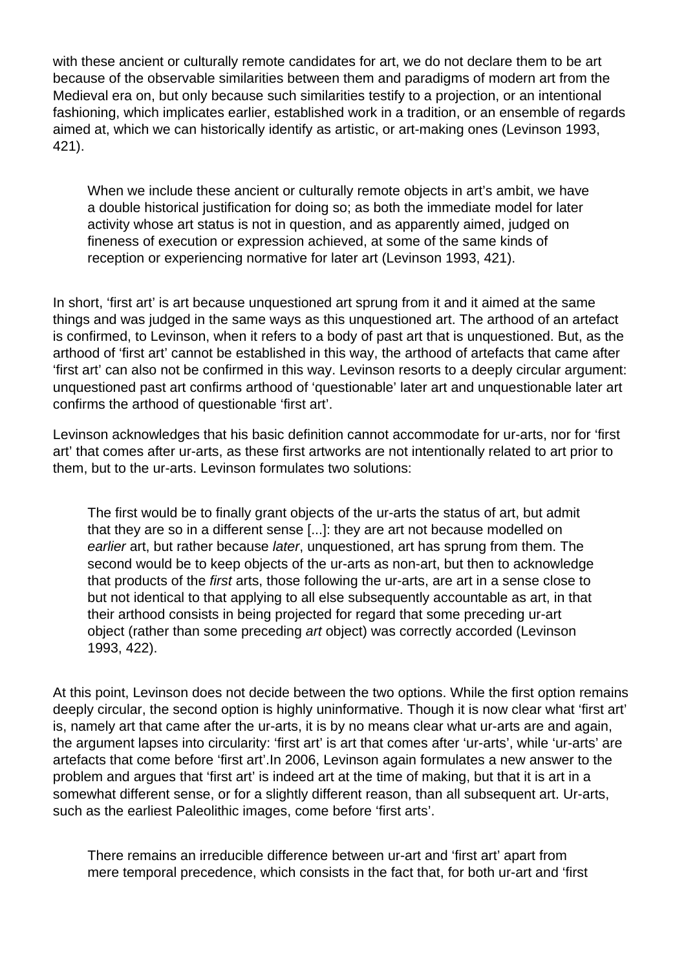with these ancient or culturally remote candidates for art, we do not declare them to be art because of the observable similarities between them and paradigms of modern art from the Medieval era on, but only because such similarities testify to a projection, or an intentional fashioning, which implicates earlier, established work in a tradition, or an ensemble of regards aimed at, which we can historically identify as artistic, or art-making ones (Levinson 1993, 421).

When we include these ancient or culturally remote objects in art's ambit, we have a double historical justification for doing so; as both the immediate model for later activity whose art status is not in question, and as apparently aimed, judged on fineness of execution or expression achieved, at some of the same kinds of reception or experiencing normative for later art (Levinson 1993, 421).

In short, 'first art' is art because unquestioned art sprung from it and it aimed at the same things and was judged in the same ways as this unquestioned art. The arthood of an artefact is confirmed, to Levinson, when it refers to a body of past art that is unquestioned. But, as the arthood of 'first art' cannot be established in this way, the arthood of artefacts that came after 'first art' can also not be confirmed in this way. Levinson resorts to a deeply circular argument: unquestioned past art confirms arthood of 'questionable' later art and unquestionable later art confirms the arthood of questionable 'first art'.

Levinson acknowledges that his basic definition cannot accommodate for ur-arts, nor for 'first art' that comes after ur-arts, as these first artworks are not intentionally related to art prior to them, but to the ur-arts. Levinson formulates two solutions:

The first would be to finally grant objects of the ur-arts the status of art, but admit that they are so in a different sense [...]: they are art not because modelled on earlier art, but rather because later, unquestioned, art has sprung from them. The second would be to keep objects of the ur-arts as non-art, but then to acknowledge that products of the first arts, those following the ur-arts, are art in a sense close to but not identical to that applying to all else subsequently accountable as art, in that their arthood consists in being projected for regard that some preceding ur-art object (rather than some preceding art object) was correctly accorded (Levinson 1993, 422).

At this point, Levinson does not decide between the two options. While the first option remains deeply circular, the second option is highly uninformative. Though it is now clear what 'first art' is, namely art that came after the ur-arts, it is by no means clear what ur-arts are and again, the argument lapses into circularity: 'first art' is art that comes after 'ur-arts', while 'ur-arts' are artefacts that come before 'first art'.In 2006, Levinson again formulates a new answer to the problem and argues that 'first art' is indeed art at the time of making, but that it is art in a somewhat different sense, or for a slightly different reason, than all subsequent art. Ur-arts, such as the earliest Paleolithic images, come before 'first arts'.

There remains an irreducible difference between ur-art and 'first art' apart from mere temporal precedence, which consists in the fact that, for both ur-art and 'first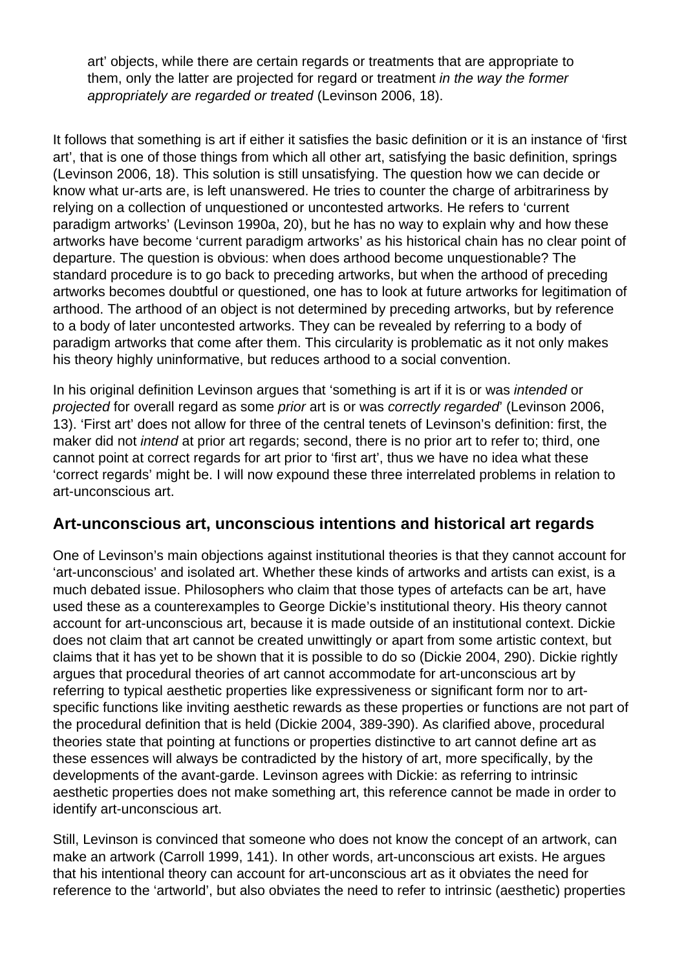art' objects, while there are certain regards or treatments that are appropriate to them, only the latter are projected for regard or treatment in the way the former appropriately are regarded or treated (Levinson 2006, 18).

It follows that something is art if either it satisfies the basic definition or it is an instance of 'first art', that is one of those things from which all other art, satisfying the basic definition, springs (Levinson 2006, 18). This solution is still unsatisfying. The question how we can decide or know what ur-arts are, is left unanswered. He tries to counter the charge of arbitrariness by relying on a collection of unquestioned or uncontested artworks. He refers to 'current paradigm artworks' (Levinson 1990a, 20), but he has no way to explain why and how these artworks have become 'current paradigm artworks' as his historical chain has no clear point of departure. The question is obvious: when does arthood become unquestionable? The standard procedure is to go back to preceding artworks, but when the arthood of preceding artworks becomes doubtful or questioned, one has to look at future artworks for legitimation of arthood. The arthood of an object is not determined by preceding artworks, but by reference to a body of later uncontested artworks. They can be revealed by referring to a body of paradigm artworks that come after them. This circularity is problematic as it not only makes his theory highly uninformative, but reduces arthood to a social convention.

In his original definition Levinson argues that 'something is art if it is or was *intended* or projected for overall regard as some prior art is or was correctly regarded' (Levinson 2006, 13). 'First art' does not allow for three of the central tenets of Levinson's definition: first, the maker did not *intend* at prior art regards; second, there is no prior art to refer to; third, one cannot point at correct regards for art prior to 'first art', thus we have no idea what these 'correct regards' might be. I will now expound these three interrelated problems in relation to art-unconscious art.

## **Art-unconscious art, unconscious intentions and historical art regards**

One of Levinson's main objections against institutional theories is that they cannot account for 'art-unconscious' and isolated art. Whether these kinds of artworks and artists can exist, is a much debated issue. Philosophers who claim that those types of artefacts can be art, have used these as a counterexamples to George Dickie's institutional theory. His theory cannot account for art-unconscious art, because it is made outside of an institutional context. Dickie does not claim that art cannot be created unwittingly or apart from some artistic context, but claims that it has yet to be shown that it is possible to do so (Dickie 2004, 290). Dickie rightly argues that procedural theories of art cannot accommodate for art-unconscious art by referring to typical aesthetic properties like expressiveness or significant form nor to artspecific functions like inviting aesthetic rewards as these properties or functions are not part of the procedural definition that is held (Dickie 2004, 389-390). As clarified above, procedural theories state that pointing at functions or properties distinctive to art cannot define art as these essences will always be contradicted by the history of art, more specifically, by the developments of the avant-garde. Levinson agrees with Dickie: as referring to intrinsic aesthetic properties does not make something art, this reference cannot be made in order to identify art-unconscious art.

Still, Levinson is convinced that someone who does not know the concept of an artwork, can make an artwork (Carroll 1999, 141). In other words, art-unconscious art exists. He argues that his intentional theory can account for art-unconscious art as it obviates the need for reference to the 'artworld', but also obviates the need to refer to intrinsic (aesthetic) properties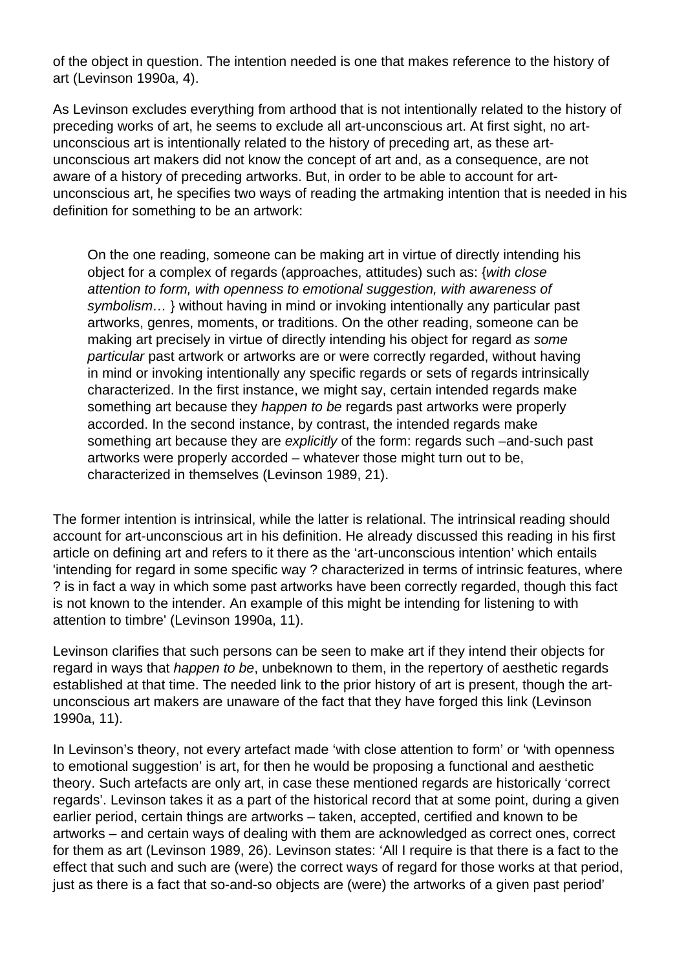of the object in question. The intention needed is one that makes reference to the history of art (Levinson 1990a, 4).

As Levinson excludes everything from arthood that is not intentionally related to the history of preceding works of art, he seems to exclude all art-unconscious art. At first sight, no artunconscious art is intentionally related to the history of preceding art, as these artunconscious art makers did not know the concept of art and, as a consequence, are not aware of a history of preceding artworks. But, in order to be able to account for artunconscious art, he specifies two ways of reading the artmaking intention that is needed in his definition for something to be an artwork:

On the one reading, someone can be making art in virtue of directly intending his object for a complex of regards (approaches, attitudes) such as: {with close attention to form, with openness to emotional suggestion, with awareness of symbolism... } without having in mind or invoking intentionally any particular past artworks, genres, moments, or traditions. On the other reading, someone can be making art precisely in virtue of directly intending his object for regard as some particular past artwork or artworks are or were correctly regarded, without having in mind or invoking intentionally any specific regards or sets of regards intrinsically characterized. In the first instance, we might say, certain intended regards make something art because they *happen to be* regards past artworks were properly accorded. In the second instance, by contrast, the intended regards make something art because they are *explicitly* of the form: regards such –and-such past artworks were properly accorded – whatever those might turn out to be, characterized in themselves (Levinson 1989, 21).

The former intention is intrinsical, while the latter is relational. The intrinsical reading should account for art-unconscious art in his definition. He already discussed this reading in his first article on defining art and refers to it there as the 'art-unconscious intention' which entails 'intending for regard in some specific way ? characterized in terms of intrinsic features, where ? is in fact a way in which some past artworks have been correctly regarded, though this fact is not known to the intender. An example of this might be intending for listening to with attention to timbre' (Levinson 1990a, 11).

Levinson clarifies that such persons can be seen to make art if they intend their objects for regard in ways that *happen to be*, unbeknown to them, in the repertory of aesthetic regards established at that time. The needed link to the prior history of art is present, though the artunconscious art makers are unaware of the fact that they have forged this link (Levinson 1990a, 11).

In Levinson's theory, not every artefact made 'with close attention to form' or 'with openness to emotional suggestion' is art, for then he would be proposing a functional and aesthetic theory. Such artefacts are only art, in case these mentioned regards are historically 'correct regards'. Levinson takes it as a part of the historical record that at some point, during a given earlier period, certain things are artworks – taken, accepted, certified and known to be artworks – and certain ways of dealing with them are acknowledged as correct ones, correct for them as art (Levinson 1989, 26). Levinson states: 'All I require is that there is a fact to the effect that such and such are (were) the correct ways of regard for those works at that period, just as there is a fact that so-and-so objects are (were) the artworks of a given past period'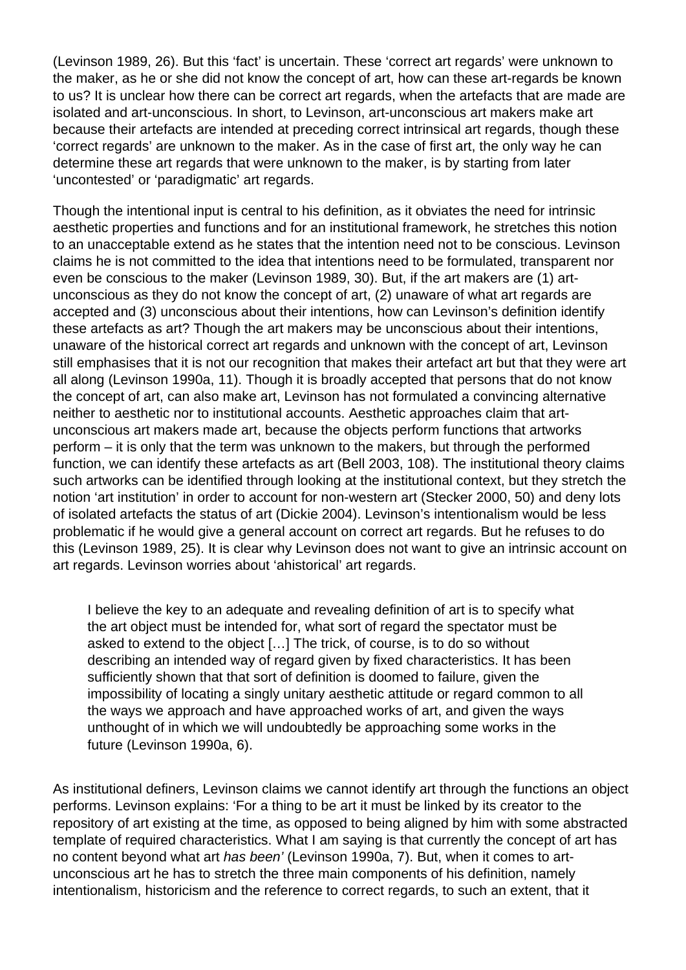(Levinson 1989, 26). But this 'fact' is uncertain. These 'correct art regards' were unknown to the maker, as he or she did not know the concept of art, how can these art-regards be known to us? It is unclear how there can be correct art regards, when the artefacts that are made are isolated and art-unconscious. In short, to Levinson, art-unconscious art makers make art because their artefacts are intended at preceding correct intrinsical art regards, though these 'correct regards' are unknown to the maker. As in the case of first art, the only way he can determine these art regards that were unknown to the maker, is by starting from later 'uncontested' or 'paradigmatic' art regards.

Though the intentional input is central to his definition, as it obviates the need for intrinsic aesthetic properties and functions and for an institutional framework, he stretches this notion to an unacceptable extend as he states that the intention need not to be conscious. Levinson claims he is not committed to the idea that intentions need to be formulated, transparent nor even be conscious to the maker (Levinson 1989, 30). But, if the art makers are (1) artunconscious as they do not know the concept of art, (2) unaware of what art regards are accepted and (3) unconscious about their intentions, how can Levinson's definition identify these artefacts as art? Though the art makers may be unconscious about their intentions, unaware of the historical correct art regards and unknown with the concept of art, Levinson still emphasises that it is not our recognition that makes their artefact art but that they were art all along (Levinson 1990a, 11). Though it is broadly accepted that persons that do not know the concept of art, can also make art, Levinson has not formulated a convincing alternative neither to aesthetic nor to institutional accounts. Aesthetic approaches claim that artunconscious art makers made art, because the objects perform functions that artworks perform – it is only that the term was unknown to the makers, but through the performed function, we can identify these artefacts as art (Bell 2003, 108). The institutional theory claims such artworks can be identified through looking at the institutional context, but they stretch the notion 'art institution' in order to account for non-western art (Stecker 2000, 50) and deny lots of isolated artefacts the status of art (Dickie 2004). Levinson's intentionalism would be less problematic if he would give a general account on correct art regards. But he refuses to do this (Levinson 1989, 25). It is clear why Levinson does not want to give an intrinsic account on art regards. Levinson worries about 'ahistorical' art regards.

I believe the key to an adequate and revealing definition of art is to specify what the art object must be intended for, what sort of regard the spectator must be asked to extend to the object […] The trick, of course, is to do so without describing an intended way of regard given by fixed characteristics. It has been sufficiently shown that that sort of definition is doomed to failure, given the impossibility of locating a singly unitary aesthetic attitude or regard common to all the ways we approach and have approached works of art, and given the ways unthought of in which we will undoubtedly be approaching some works in the future (Levinson 1990a, 6).

As institutional definers, Levinson claims we cannot identify art through the functions an object performs. Levinson explains: 'For a thing to be art it must be linked by its creator to the repository of art existing at the time, as opposed to being aligned by him with some abstracted template of required characteristics. What I am saying is that currently the concept of art has no content beyond what art has been' (Levinson 1990a, 7). But, when it comes to artunconscious art he has to stretch the three main components of his definition, namely intentionalism, historicism and the reference to correct regards, to such an extent, that it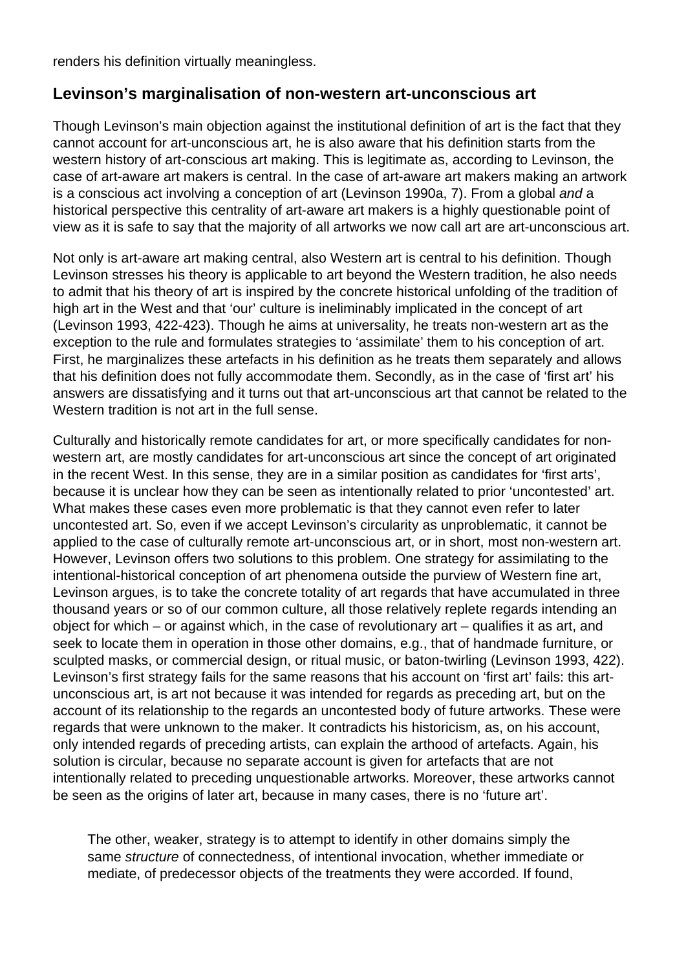renders his definition virtually meaningless.

## **Levinson's marginalisation of non-western art-unconscious art**

Though Levinson's main objection against the institutional definition of art is the fact that they cannot account for art-unconscious art, he is also aware that his definition starts from the western history of art-conscious art making. This is legitimate as, according to Levinson, the case of art-aware art makers is central. In the case of art-aware art makers making an artwork is a conscious act involving a conception of art (Levinson 1990a, 7). From a global and a historical perspective this centrality of art-aware art makers is a highly questionable point of view as it is safe to say that the majority of all artworks we now call art are art-unconscious art.

Not only is art-aware art making central, also Western art is central to his definition. Though Levinson stresses his theory is applicable to art beyond the Western tradition, he also needs to admit that his theory of art is inspired by the concrete historical unfolding of the tradition of high art in the West and that 'our' culture is ineliminably implicated in the concept of art (Levinson 1993, 422-423). Though he aims at universality, he treats non-western art as the exception to the rule and formulates strategies to 'assimilate' them to his conception of art. First, he marginalizes these artefacts in his definition as he treats them separately and allows that his definition does not fully accommodate them. Secondly, as in the case of 'first art' his answers are dissatisfying and it turns out that art-unconscious art that cannot be related to the Western tradition is not art in the full sense.

Culturally and historically remote candidates for art, or more specifically candidates for nonwestern art, are mostly candidates for art-unconscious art since the concept of art originated in the recent West. In this sense, they are in a similar position as candidates for 'first arts', because it is unclear how they can be seen as intentionally related to prior 'uncontested' art. What makes these cases even more problematic is that they cannot even refer to later uncontested art. So, even if we accept Levinson's circularity as unproblematic, it cannot be applied to the case of culturally remote art-unconscious art, or in short, most non-western art. However, Levinson offers two solutions to this problem. One strategy for assimilating to the intentional-historical conception of art phenomena outside the purview of Western fine art, Levinson argues, is to take the concrete totality of art regards that have accumulated in three thousand years or so of our common culture, all those relatively replete regards intending an object for which – or against which, in the case of revolutionary art – qualifies it as art, and seek to locate them in operation in those other domains, e.g., that of handmade furniture, or sculpted masks, or commercial design, or ritual music, or baton-twirling (Levinson 1993, 422). Levinson's first strategy fails for the same reasons that his account on 'first art' fails: this artunconscious art, is art not because it was intended for regards as preceding art, but on the account of its relationship to the regards an uncontested body of future artworks. These were regards that were unknown to the maker. It contradicts his historicism, as, on his account, only intended regards of preceding artists, can explain the arthood of artefacts. Again, his solution is circular, because no separate account is given for artefacts that are not intentionally related to preceding unquestionable artworks. Moreover, these artworks cannot be seen as the origins of later art, because in many cases, there is no 'future art'.

The other, weaker, strategy is to attempt to identify in other domains simply the same structure of connectedness, of intentional invocation, whether immediate or mediate, of predecessor objects of the treatments they were accorded. If found,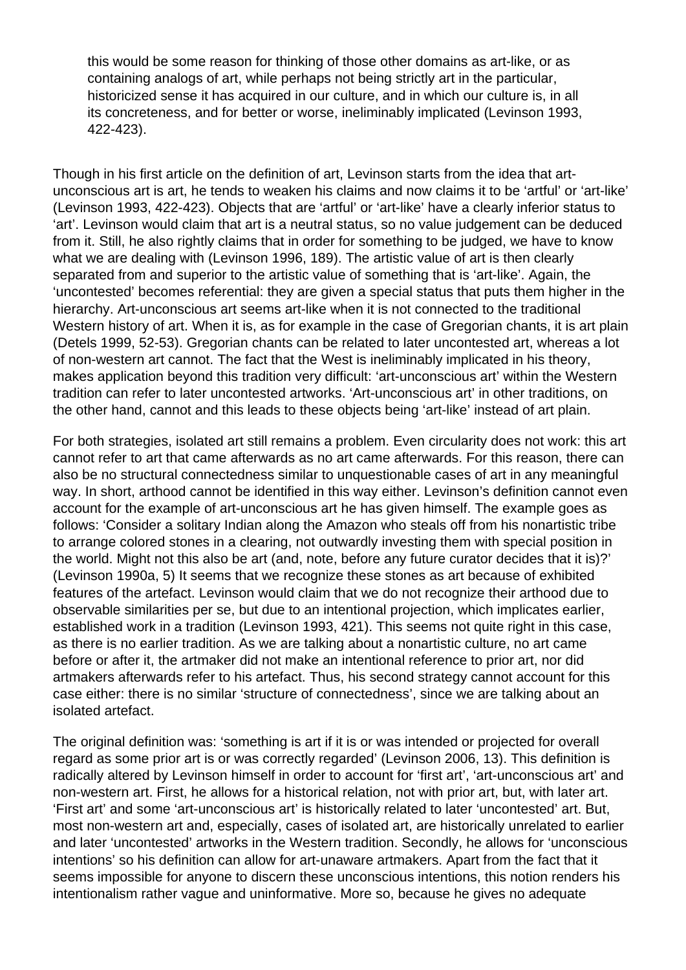this would be some reason for thinking of those other domains as art-like, or as containing analogs of art, while perhaps not being strictly art in the particular, historicized sense it has acquired in our culture, and in which our culture is, in all its concreteness, and for better or worse, ineliminably implicated (Levinson 1993, 422-423).

Though in his first article on the definition of art, Levinson starts from the idea that artunconscious art is art, he tends to weaken his claims and now claims it to be 'artful' or 'art-like' (Levinson 1993, 422-423). Objects that are 'artful' or 'art-like' have a clearly inferior status to 'art'. Levinson would claim that art is a neutral status, so no value judgement can be deduced from it. Still, he also rightly claims that in order for something to be judged, we have to know what we are dealing with (Levinson 1996, 189). The artistic value of art is then clearly separated from and superior to the artistic value of something that is 'art-like'. Again, the 'uncontested' becomes referential: they are given a special status that puts them higher in the hierarchy. Art-unconscious art seems art-like when it is not connected to the traditional Western history of art. When it is, as for example in the case of Gregorian chants, it is art plain (Detels 1999, 52-53). Gregorian chants can be related to later uncontested art, whereas a lot of non-western art cannot. The fact that the West is ineliminably implicated in his theory, makes application beyond this tradition very difficult: 'art-unconscious art' within the Western tradition can refer to later uncontested artworks. 'Art-unconscious art' in other traditions, on the other hand, cannot and this leads to these objects being 'art-like' instead of art plain.

For both strategies, isolated art still remains a problem. Even circularity does not work: this art cannot refer to art that came afterwards as no art came afterwards. For this reason, there can also be no structural connectedness similar to unquestionable cases of art in any meaningful way. In short, arthood cannot be identified in this way either. Levinson's definition cannot even account for the example of art-unconscious art he has given himself. The example goes as follows: 'Consider a solitary Indian along the Amazon who steals off from his nonartistic tribe to arrange colored stones in a clearing, not outwardly investing them with special position in the world. Might not this also be art (and, note, before any future curator decides that it is)?' (Levinson 1990a, 5) It seems that we recognize these stones as art because of exhibited features of the artefact. Levinson would claim that we do not recognize their arthood due to observable similarities per se, but due to an intentional projection, which implicates earlier, established work in a tradition (Levinson 1993, 421). This seems not quite right in this case, as there is no earlier tradition. As we are talking about a nonartistic culture, no art came before or after it, the artmaker did not make an intentional reference to prior art, nor did artmakers afterwards refer to his artefact. Thus, his second strategy cannot account for this case either: there is no similar 'structure of connectedness', since we are talking about an isolated artefact.

The original definition was: 'something is art if it is or was intended or projected for overall regard as some prior art is or was correctly regarded' (Levinson 2006, 13). This definition is radically altered by Levinson himself in order to account for 'first art', 'art-unconscious art' and non-western art. First, he allows for a historical relation, not with prior art, but, with later art. 'First art' and some 'art-unconscious art' is historically related to later 'uncontested' art. But, most non-western art and, especially, cases of isolated art, are historically unrelated to earlier and later 'uncontested' artworks in the Western tradition. Secondly, he allows for 'unconscious intentions' so his definition can allow for art-unaware artmakers. Apart from the fact that it seems impossible for anyone to discern these unconscious intentions, this notion renders his intentionalism rather vague and uninformative. More so, because he gives no adequate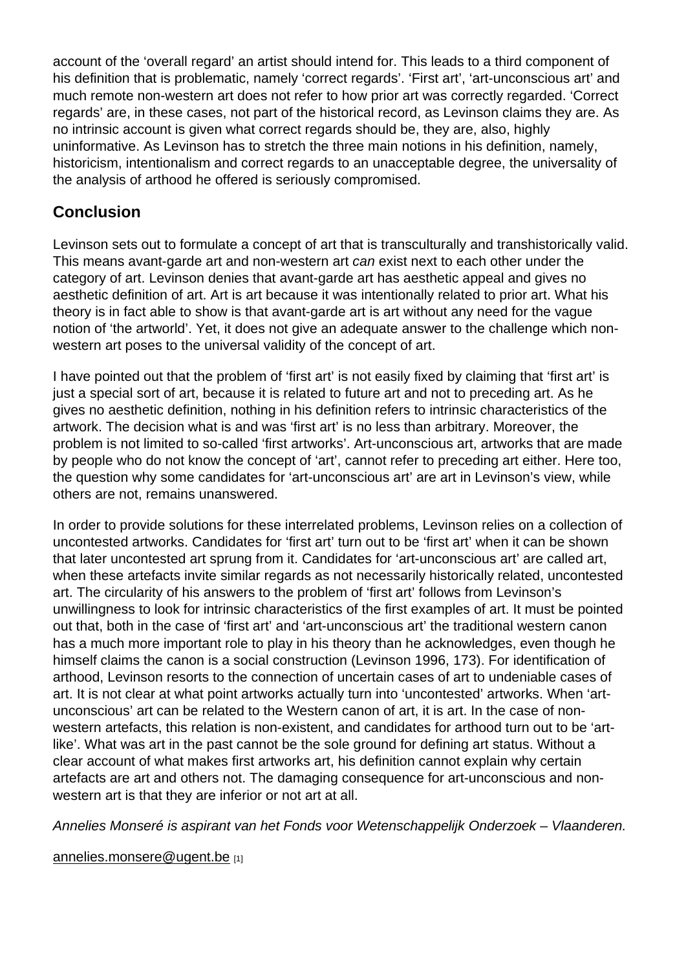account of the 'overall regard' an artist should intend for. This leads to a third component of his definition that is problematic, namely 'correct regards'. 'First art', 'art-unconscious art' and much remote non-western art does not refer to how prior art was correctly regarded. 'Correct regards' are, in these cases, not part of the historical record, as Levinson claims they are. As no intrinsic account is given what correct regards should be, they are, also, highly uninformative. As Levinson has to stretch the three main notions in his definition, namely, historicism, intentionalism and correct regards to an unacceptable degree, the universality of the analysis of arthood he offered is seriously compromised.

## **Conclusion**

Levinson sets out to formulate a concept of art that is transculturally and transhistorically valid. This means avant-garde art and non-western art can exist next to each other under the category of art. Levinson denies that avant-garde art has aesthetic appeal and gives no aesthetic definition of art. Art is art because it was intentionally related to prior art. What his theory is in fact able to show is that avant-garde art is art without any need for the vague notion of 'the artworld'. Yet, it does not give an adequate answer to the challenge which nonwestern art poses to the universal validity of the concept of art.

I have pointed out that the problem of 'first art' is not easily fixed by claiming that 'first art' is just a special sort of art, because it is related to future art and not to preceding art. As he gives no aesthetic definition, nothing in his definition refers to intrinsic characteristics of the artwork. The decision what is and was 'first art' is no less than arbitrary. Moreover, the problem is not limited to so-called 'first artworks'. Art-unconscious art, artworks that are made by people who do not know the concept of 'art', cannot refer to preceding art either. Here too, the question why some candidates for 'art-unconscious art' are art in Levinson's view, while others are not, remains unanswered.

In order to provide solutions for these interrelated problems, Levinson relies on a collection of uncontested artworks. Candidates for 'first art' turn out to be 'first art' when it can be shown that later uncontested art sprung from it. Candidates for 'art-unconscious art' are called art, when these artefacts invite similar regards as not necessarily historically related, uncontested art. The circularity of his answers to the problem of 'first art' follows from Levinson's unwillingness to look for intrinsic characteristics of the first examples of art. It must be pointed out that, both in the case of 'first art' and 'art-unconscious art' the traditional western canon has a much more important role to play in his theory than he acknowledges, even though he himself claims the canon is a social construction (Levinson 1996, 173). For identification of arthood, Levinson resorts to the connection of uncertain cases of art to undeniable cases of art. It is not clear at what point artworks actually turn into 'uncontested' artworks. When 'artunconscious' art can be related to the Western canon of art, it is art. In the case of nonwestern artefacts, this relation is non-existent, and candidates for arthood turn out to be 'artlike'. What was art in the past cannot be the sole ground for defining art status. Without a clear account of what makes first artworks art, his definition cannot explain why certain artefacts are art and others not. The damaging consequence for art-unconscious and nonwestern art is that they are inferior or not art at all.

Annelies Monseré is aspirant van het Fonds voor Wetenschappelijk Onderzoek – Vlaanderen.

annelies.monsere@ugent.be [1]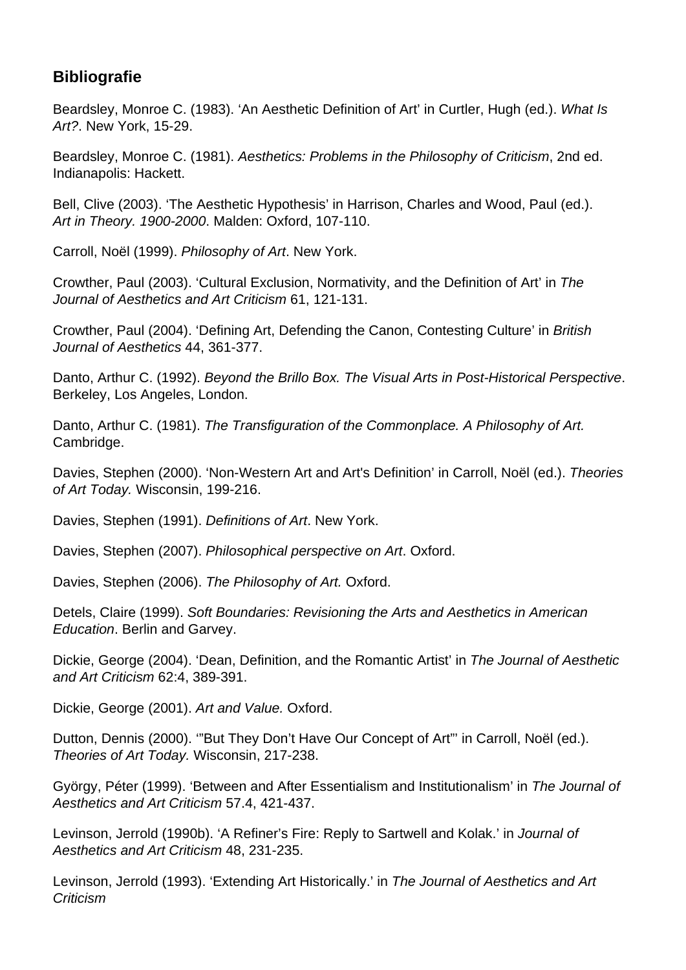# **Bibliografie**

Beardsley, Monroe C. (1983). 'An Aesthetic Definition of Art' in Curtler, Hugh (ed.). What Is Art?. New York, 15-29.

Beardsley, Monroe C. (1981). Aesthetics: Problems in the Philosophy of Criticism, 2nd ed. Indianapolis: Hackett.

Bell, Clive (2003). 'The Aesthetic Hypothesis' in Harrison, Charles and Wood, Paul (ed.). Art in Theory. 1900-2000. Malden: Oxford, 107-110.

Carroll, Noël (1999). Philosophy of Art. New York.

Crowther, Paul (2003). 'Cultural Exclusion, Normativity, and the Definition of Art' in The Journal of Aesthetics and Art Criticism 61, 121-131.

Crowther, Paul (2004). 'Defining Art, Defending the Canon, Contesting Culture' in British Journal of Aesthetics 44, 361-377.

Danto, Arthur C. (1992). Beyond the Brillo Box. The Visual Arts in Post-Historical Perspective. Berkeley, Los Angeles, London.

Danto, Arthur C. (1981). The Transfiguration of the Commonplace. A Philosophy of Art. Cambridge.

Davies, Stephen (2000). 'Non-Western Art and Art's Definition' in Carroll, Noël (ed.). Theories of Art Today. Wisconsin, 199-216.

Davies, Stephen (1991). Definitions of Art. New York.

Davies, Stephen (2007). Philosophical perspective on Art. Oxford.

Davies, Stephen (2006). The Philosophy of Art. Oxford.

Detels, Claire (1999). Soft Boundaries: Revisioning the Arts and Aesthetics in American Education. Berlin and Garvey.

Dickie, George (2004). 'Dean, Definition, and the Romantic Artist' in The Journal of Aesthetic and Art Criticism 62:4, 389-391.

Dickie, George (2001). Art and Value. Oxford.

Dutton, Dennis (2000). '"But They Don't Have Our Concept of Art"' in Carroll, Noël (ed.). Theories of Art Today. Wisconsin, 217-238.

György, Péter (1999). 'Between and After Essentialism and Institutionalism' in The Journal of Aesthetics and Art Criticism 57.4, 421-437.

Levinson, Jerrold (1990b). 'A Refiner's Fire: Reply to Sartwell and Kolak.' in Journal of Aesthetics and Art Criticism 48, 231-235.

Levinson, Jerrold (1993). 'Extending Art Historically.' in The Journal of Aesthetics and Art **Criticism**